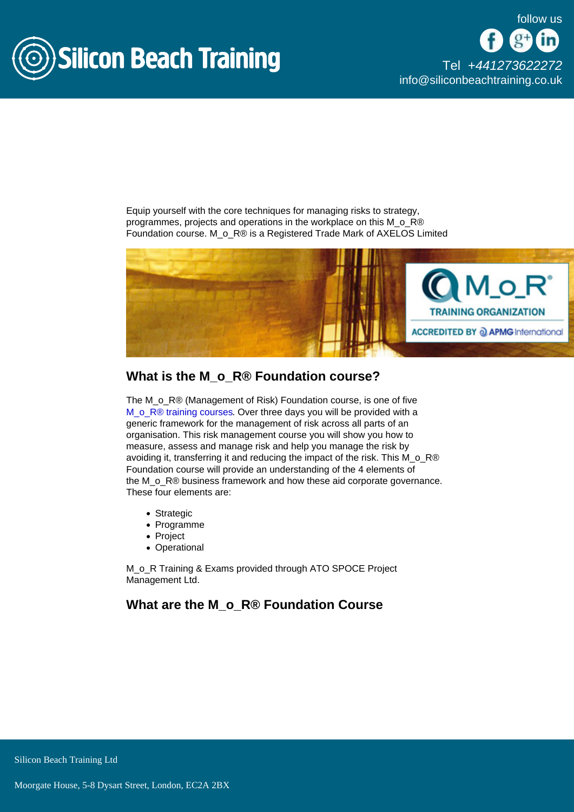

[Tel +44](tel:+441273622272)1273622272 [info@siliconbeachtraining.co.uk](/var/www/html/siliconbeachtraining.co.uk/public/mailTo:info@siliconbeachtraining.co.uk)

Equip yourself with the core techniques for managing risks to strategy, programmes, projects and operations in the workplace on this M\_o\_R® Foundation course. M\_o\_R® is a Registered Trade Mark of AXELOS Limited

# What is the M\_o\_R® Foundation course?

The M<sub>o</sub> R<sup>®</sup> (Management of Risk) Foundation course, is one of five [M\\_o\\_R® training courses](/mor-training). Over three days you will be provided with a generic framework for the management of risk across all parts of an organisation. This risk management course you will show you how to measure, assess and manage risk and help you manage the risk by avoiding it, transferring it and reducing the impact of the risk. This M\_o\_R® Foundation course will provide an understanding of the 4 elements of the M<sub>\_O\_</sub>R® business framework and how these aid corporate governance. These four elements are:

- Strategic
- Programme
- Project
- Operational

M\_o\_R Training & Exams provided through ATO SPOCE Project Management Ltd.

What are the M\_o\_R® Foundation Course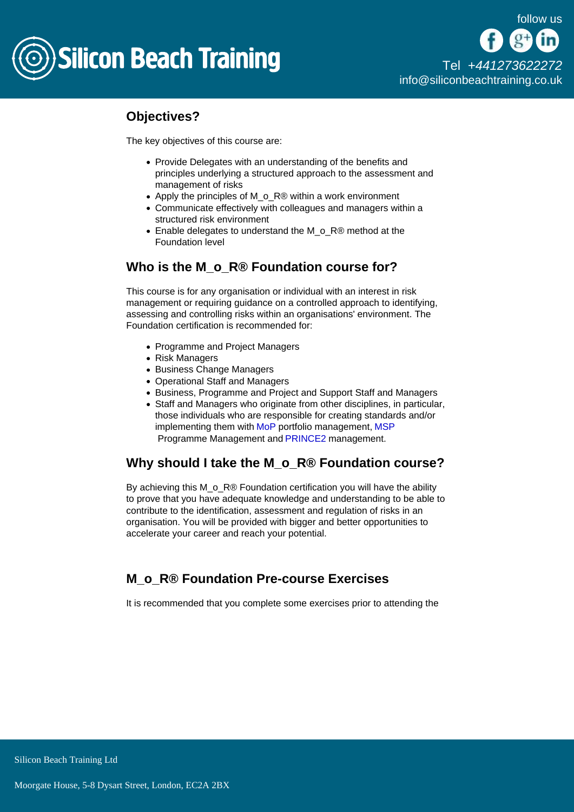

[Tel +44](tel:+441273622272)1273622272 [info@siliconbeachtraining.co.uk](/var/www/html/siliconbeachtraining.co.uk/public/mailTo:info@siliconbeachtraining.co.uk)

# Objectives?

The key objectives of this course are:

- Provide Delegates with an understanding of the benefits and principles underlying a structured approach to the assessment and management of risks
- Apply the principles of M\_o\_R® within a work environment
- Communicate effectively with colleagues and managers within a structured risk environment
- Enable delegates to understand the M\_o\_R® method at the Foundation level

# Who is the M<sub>o</sub> R® Foundation course for?

This course is for any organisation or individual with an interest in risk management or requiring guidance on a controlled approach to identifying, assessing and controlling risks within an organisations' environment. The Foundation certification is recommended for:

- Programme and Project Managers
- Risk Managers
- Business Change Managers
- Operational Staff and Managers
- Business, Programme and Project and Support Staff and Managers
- Staff and Managers who originate from other disciplines, in particular, those individuals who are responsible for creating standards and/or implementing them with [MoP](/mop-courses) portfolio management, [MSP](/msp-training) Programme Management and [PRINCE2](/prince2-training) management.

# Why should I take the M\_o\_R® Foundation course?

By achieving this M\_o\_R® Foundation certification you will have the ability to prove that you have adequate knowledge and understanding to be able to contribute to the identification, assessment and regulation of risks in an organisation. You will be provided with bigger and better opportunities to accelerate your career and reach your potential.

# M\_o\_R® Foundation Pre-course Exercises

It is recommended that you complete some exercises prior to attending the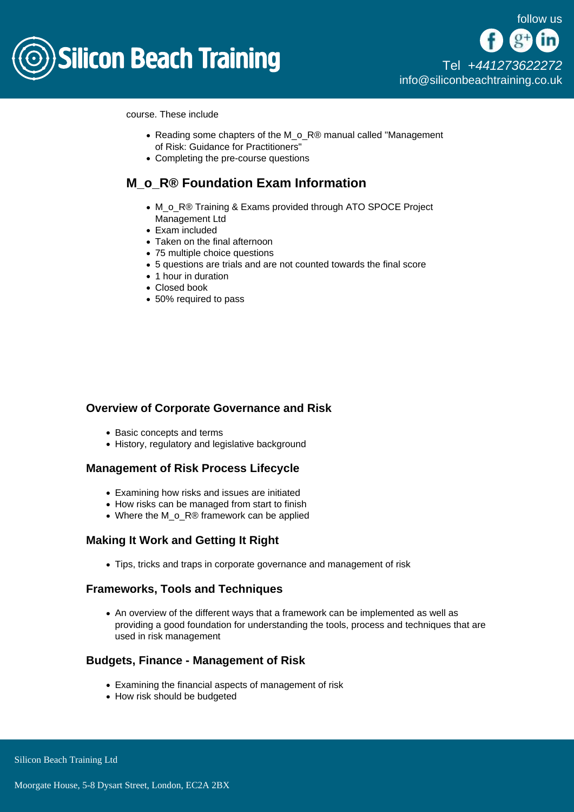

course. These include

- Reading some chapters of the M\_o\_R® manual called "Management of Risk: Guidance for Practitioners"
- Completing the pre-course questions

# M\_o\_R® Foundation Exam Information

- M\_o\_R® Training & Exams provided through ATO SPOCE Project Management Ltd
- Exam included
- Taken on the final afternoon
- 75 multiple choice questions
- 5 questions are trials and are not counted towards the final score
- 1 hour in duration
- Closed book
- 50% required to pass

### Overview of Corporate Governance and Risk

- Basic concepts and terms
- History, regulatory and legislative background

#### Management of Risk Process Lifecycle

- Examining how risks and issues are initiated
- How risks can be managed from start to finish
- Where the M\_o\_R® framework can be applied

## Making It Work and Getting It Right

Tips, tricks and traps in corporate governance and management of risk

#### Frameworks, Tools and Techniques

An overview of the different ways that a framework can be implemented as well as providing a good foundation for understanding the tools, process and techniques that are used in risk management

#### Budgets, Finance - Management of Risk

- Examining the financial aspects of management of risk
- How risk should be budgeted

Silicon Beach Training Ltd